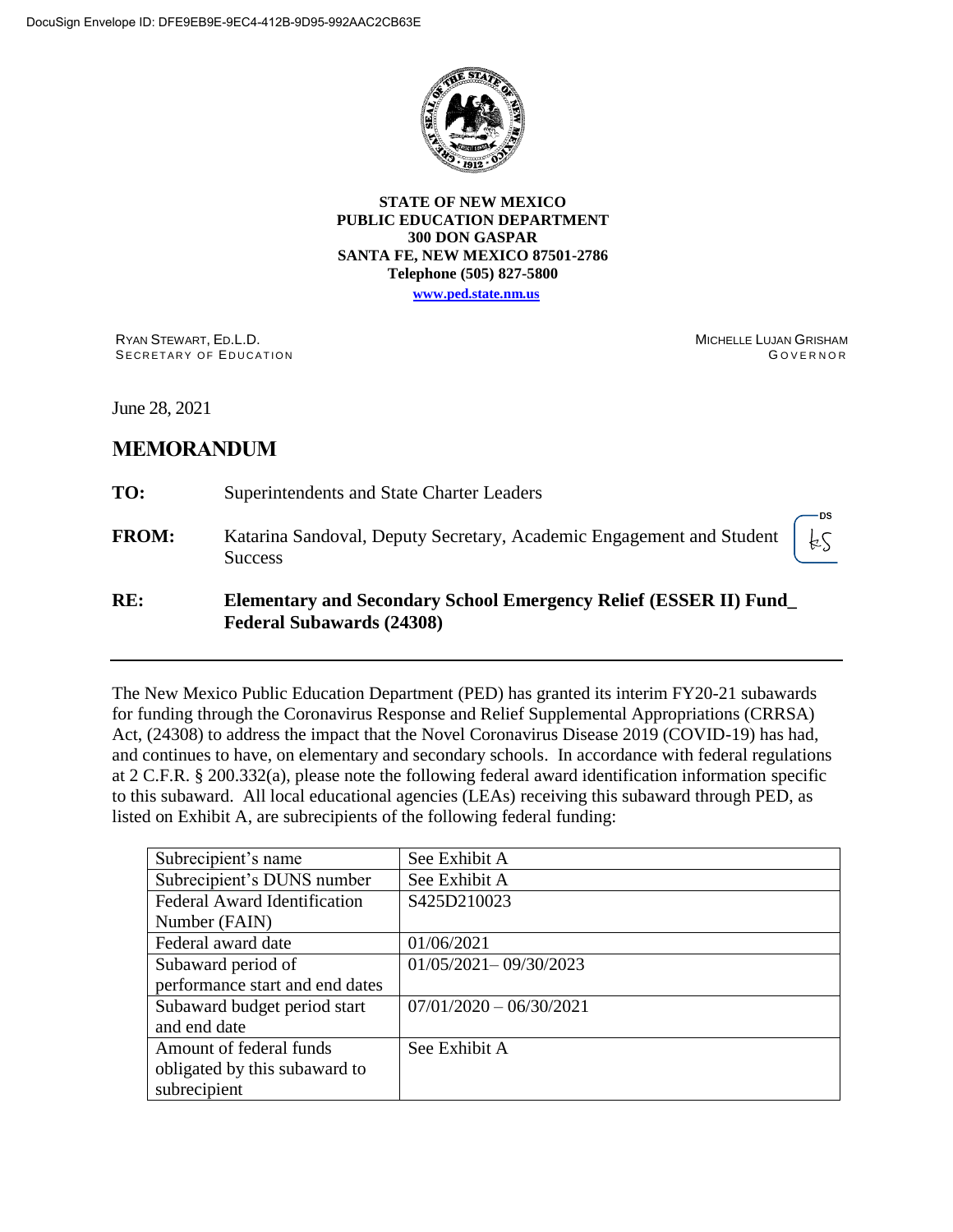

#### **STATE OF NEW MEXICO PUBLIC EDUCATION DEPARTMENT 300 DON GASPAR SANTA FE, NEW MEXICO 87501-2786 Telephone (505) 827-5800**

**[www.ped.state.nm.us](http://webnew.ped.state.nm.us/)**

RYAN STEWART, ED.L.D. SECRETARY OF EDUCATION MICHELLE LUJAN GRISHAM **GOVERNOR** 

June 28, 2021

# **MEMORANDUM**

| RE:          | <b>Elementary and Secondary School Emergency Relief (ESSER II) Fund</b><br><b>Federal Subawards (24308)</b>                                |  |  |  |
|--------------|--------------------------------------------------------------------------------------------------------------------------------------------|--|--|--|
| <b>FROM:</b> | Katarina Sandoval, Deputy Secretary, Academic Engagement and Student $\begin{bmatrix} \downarrow \zeta \\ \end{bmatrix}$<br><b>Success</b> |  |  |  |
| TO:          | Superintendents and State Charter Leaders                                                                                                  |  |  |  |

The New Mexico Public Education Department (PED) has granted its interim FY20-21 subawards for funding through the Coronavirus Response and Relief Supplemental Appropriations (CRRSA) Act, (24308) to address the impact that the Novel Coronavirus Disease 2019 (COVID-19) has had, and continues to have, on elementary and secondary schools. In accordance with federal regulations at 2 C.F.R. § 200.332(a), please note the following federal award identification information specific to this subaward. All local educational agencies (LEAs) receiving this subaward through PED, as listed on Exhibit A, are subrecipients of the following federal funding:

| Subrecipient's name                 | See Exhibit A             |
|-------------------------------------|---------------------------|
| Subrecipient's DUNS number          | See Exhibit A             |
| <b>Federal Award Identification</b> | S425D210023               |
| Number (FAIN)                       |                           |
| Federal award date                  | 01/06/2021                |
| Subaward period of                  | $01/05/2021 - 09/30/2023$ |
| performance start and end dates     |                           |
| Subaward budget period start        | $07/01/2020 - 06/30/2021$ |
| and end date                        |                           |
| Amount of federal funds             | See Exhibit A             |
| obligated by this subaward to       |                           |
| subrecipient                        |                           |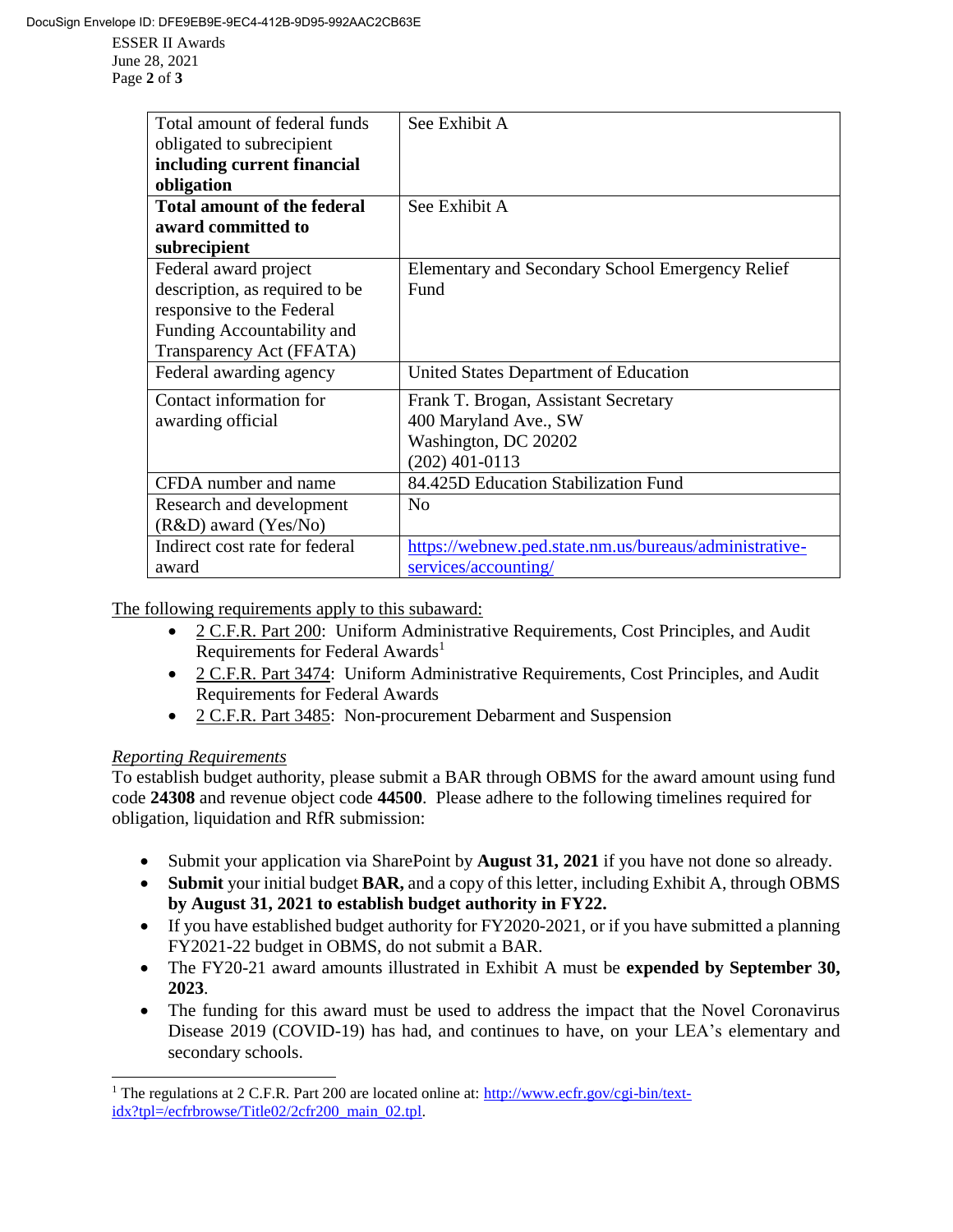ESSER II Awards June 28, 2021 Page **2** of **3**

| Total amount of federal funds<br>obligated to subrecipient | See Exhibit A                                          |
|------------------------------------------------------------|--------------------------------------------------------|
| including current financial                                |                                                        |
| obligation                                                 |                                                        |
| <b>Total amount of the federal</b>                         | See Exhibit A                                          |
| award committed to                                         |                                                        |
| subrecipient                                               |                                                        |
| Federal award project                                      | Elementary and Secondary School Emergency Relief       |
| description, as required to be                             | Fund                                                   |
| responsive to the Federal                                  |                                                        |
| Funding Accountability and                                 |                                                        |
| Transparency Act (FFATA)                                   |                                                        |
| Federal awarding agency                                    | United States Department of Education                  |
| Contact information for                                    | Frank T. Brogan, Assistant Secretary                   |
| awarding official                                          | 400 Maryland Ave., SW                                  |
|                                                            | Washington, DC 20202                                   |
|                                                            | $(202)$ 401-0113                                       |
| CFDA number and name                                       | 84.425D Education Stabilization Fund                   |
| Research and development                                   | N <sub>0</sub>                                         |
| $(R&D)$ award $(Yes/No)$                                   |                                                        |
| Indirect cost rate for federal                             | https://webnew.ped.state.nm.us/bureaus/administrative- |
| award                                                      | services/accounting/                                   |

The following requirements apply to this subaward:

- 2 C.F.R. Part 200: Uniform Administrative Requirements, Cost Principles, and Audit Requirements for Federal Awards<sup>1</sup>
- 2 C.F.R. Part 3474: Uniform Administrative Requirements, Cost Principles, and Audit Requirements for Federal Awards
- 2 C.F.R. Part 3485: Non-procurement Debarment and Suspension

#### *Reporting Requirements*

 $\overline{a}$ 

To establish budget authority, please submit a BAR through OBMS for the award amount using fund code **24308** and revenue object code **44500**. Please adhere to the following timelines required for obligation, liquidation and RfR submission:

- Submit your application via SharePoint by **August 31, 2021** if you have not done so already.
- **Submit** your initial budget **BAR,** and a copy of this letter, including Exhibit A, through OBMS **by August 31, 2021 to establish budget authority in FY22.**
- If you have established budget authority for FY2020-2021, or if you have submitted a planning FY2021-22 budget in OBMS, do not submit a BAR.
- The FY20-21 award amounts illustrated in Exhibit A must be **expended by September 30, 2023**.
- The funding for this award must be used to address the impact that the Novel Coronavirus Disease 2019 (COVID-19) has had, and continues to have, on your LEA's elementary and secondary schools.

<sup>&</sup>lt;sup>1</sup> The regulations at 2 C.F.R. Part 200 are located online at: [http://www.ecfr.gov/cgi-bin/text](http://www.ecfr.gov/cgi-bin/text-idx?tpl=/ecfrbrowse/Title02/2cfr200_main_02.tpl)[idx?tpl=/ecfrbrowse/Title02/2cfr200\\_main\\_02.tpl.](http://www.ecfr.gov/cgi-bin/text-idx?tpl=/ecfrbrowse/Title02/2cfr200_main_02.tpl)